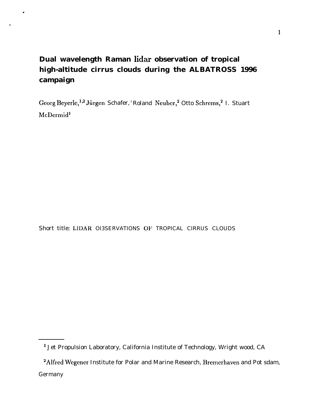# **Dual wavelength Raman lidar observation of tropical high-altitude cirrus clouds during the ALBATROSS 1996 campaign**

.

●

Georg Beyerle,<sup>1,2</sup> Jürgen Schafer, <sup>2</sup> Roland Neuber,<sup>2</sup> Otto Schrems,<sup>2</sup> I. Stuart McDermid<sup>1</sup>

Short title: LIDAR OI3SERVATIONS OF TROPICAL CIRRUS CLOUDS

<sup>1</sup> Jet Propulsion Laboratory, California Institute of Technology, Wright wood, CA

<sup>&</sup>lt;sup>2</sup> Alfred Wegener Institute for Polar and Marine Research, Bremerhaven and Pot sdam, Germany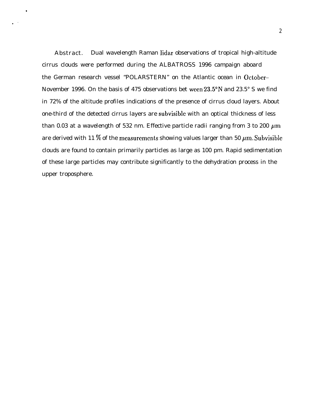Abstract. Dual wavelength Raman lidar observations of tropical high-altitude cirrus clouds were performed during the ALBATROSS 1996 campaign aboard the German research vessel "POLARSTERN" on the Atlantic ocean in October– November 1996. On the basis of 475 observations bet ween  $23.5^{\circ}$ N and  $23.5^{\circ}$  S we find in 72% of the altitude profiles indications of the presence of cirrus cloud layers. About one-third of the detected cirrus layers are subvisiblc with an optical thickness of less than 0.03 at a wavelength of 532 nm. Effective particle radii ranging from 3 to 200  $\mu$ m are derived with 11 % of the measurements showing values larger than 50  $\mu$ m. Subvisible clouds are found to contain primarily particles as large as 100 pm. Rapid sedimentation of these large particles may contribute significantly to the dehydration process in the upper troposphere.

.

.,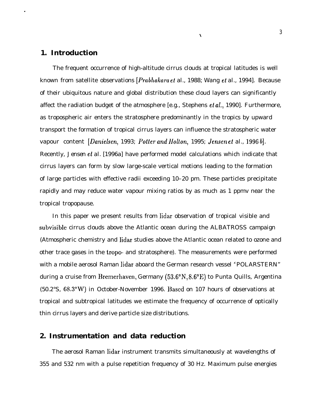#### **1. Introduction**

.

The frequent occurrence of high-altitude cirrus clouds at tropical latitudes is well known from satellite observations *[Prabhakara et al., 1988; Wang et al.,* 1994]. Because of their ubiquitous nature and global distribution these cloud layers can significantly affect the radiation budget of the atmosphere [e.g., Stephens et *al.,* 1990]. Furthermore, as tropospheric air enters the stratosphere predominantly in the tropics by upward transport the formation of tropical cirrus layers can influence the stratospheric water vapour content *[Danieken,* 1993; Potter *and llolton,* 1995; Jensen et *al.,* 1996 b]. Recently, *Jensen et al.* [1996a] have performed model calculations which indicate that cirrus layers can form by slow large-scale vertical motions leading to the formation of large particles with effective radii exceeding 10–20 pm. These particles precipitate rapidly and may reduce water vapour mixing ratios by as much as 1 ppmv near the tropical tropopause.

 $\lambda$ 

In this paper we present results from lidar observation of tropical visible and subvisible cirrus clouds above the Atlantic ocean during the ALBATROSS campaign (Atmospheric chemistry and lidar studies above the Atlantic ocean related to ozone and other trace gases in the tropo- and stratosphere). The measurements were performed with a mobile aerosol Raman lidar aboard the German research vessel "POLARSTERN" during a cruise from Bremerhaven, Germany  $(53.6^{\circ}N, 8.6^{\circ}E)$  to Punta Quills, Argentina (50.2°S, 68.3"W) in October-November 1996. Based on 107 hours of observations at tropical and subtropical latitudes we estimate the frequency of occurrence of optically thin cirrus layers and derive particle size distributions.

#### **2. Instrumentation and data reduction**

The aerosol Raman lidar instrument transmits simultaneously at wavelengths of 355 and 532 nm with a pulse repetition frequency of 30 Hz. Maximum pulse energies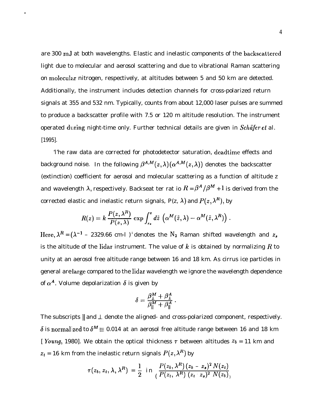are 300 mJ at both wavelengths. Elastic and inelastic components of the backscattered light due to molecular and aerosol scattering and due to vibrational Raman scattering on molecular nitrogen, respectively, at altitudes between 5 and 50 km are detected. Additionally, the instrument includes detection channels for cross-polarized return signals at 355 and 532 nm. Typically, counts from about 12,000 laser pulses are summed to produce a backscatter profile with 7.5 or 120 m altitude resolution. The instrument operated during night-time only. Further technical details are given in *Schäfer et al.* [1995].

.

'l'he raw data are corrected for photodetector saturation, deadtime effects and background noise. In the following  $\beta^{A,M}(z,\lambda) (\alpha^{A,M}(z,\lambda))$  denotes the backscatter (extinction) coefficient for aerosol and molecular scattering as a function of altitude z and wavelength  $\lambda$ , respectively. Backseat ter rat io  $R = \beta^{A}/\beta^{M} + 1$  is derived from the corrected elastic and inelastic return signals, P(z,  $\lambda$ ) and  $P(z, \lambda^R)$ , by

$$
R(z) = k \frac{P(z, \lambda^R)}{P(z, \lambda)} \exp \int_{z_{\lambda}}^{z} d\tilde{z} \left( \alpha^M(\tilde{z}, \lambda) - \alpha^M(\tilde{z}, \lambda^R) \right).
$$

Here,  $\lambda^R = (\lambda^{-1} - 2329.66 \text{ cm-1})^{-1}$  denotes the N<sub>2</sub> Raman shifted wavelength and  $z_s$ is the altitude of the lidar instrument. The value of k is obtained by normalizing R to unity at an aerosol free altitude range between 16 and 18 km. As cirrus ice particles in general are large compared to the lidar wavelength we ignore the wavelength dependence of  $\alpha^A$ . Volume depolarization  $\delta$  is given by

$$
\delta = \frac{\beta_1^M + \beta_1^A}{\beta_{\parallel}^M + \beta_{\parallel}^A}.
$$

The subscripts  $\parallel$  and  $\perp$  denote the aligned- and cross-polarized component, respectively.  $\delta$  is normalized to  $\delta^M \equiv 0.014$  at an aerosol free altitude range between 16 and 18 km [ Young, 1980]. We obtain the optical thickness  $\tau$  between altitudes  $z_b = 11$  km and  $z_t$  = 16 km from the inelastic return signals  $P(z, \lambda^R)$  by

$$
\tau(z_b, z_t, \lambda, \lambda^R) = \frac{1}{2} \text{ in } \frac{P(z_b, \lambda^R) (z_b - z_s)^2 N(z_t)}{(P(z_t, \lambda^R) (z_t - z_s)^2 N(z_b))}
$$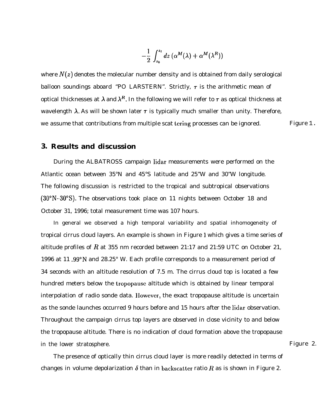$$
-\frac{1}{2}\int_{z_b}^{z_t} dz \left(\alpha^M(\lambda) + \alpha^M(\lambda^R)\right)
$$

where  $N(z)$  denotes the molecular number density and is obtained from daily serological balloon soundings aboard "PO LARSTERN". Strictly,  $\tau$  is the arithmetic mean of optical thicknesses at  $\lambda$  and  $\lambda^R$ . In the following we will refer to  $\tau$  as optical thickness at wavelength  $\lambda$ . As will be shown later  $\tau$  is typically much smaller than unity. Therefore, we assume that contributions from multiple scat tering processes can be ignored. Figure 1.

#### **3. Results and discussion**

During the ALBATROSS campaign lidar measurements were performed on the Atlantic ocean between 35°N and 45°S latitude and 25"W and 30"W longitude. The following discussion is restricted to the tropical and subtropical observations (30"N-30"S). The observations took place on 11 nights between October 18 and October 31, 1996; total measurement time was 107 hours.

In general we observed a high temporal variability and spatial inhomogeneity of tropical cirrus cloud layers. An example is shown in Figure 1 which gives a time series of altitude profiles of R at 355 nm recorded between 21:17 and 21:59 UTC on October 21, 1996 at 11 .99"N and 28.25° W. Each profile corresponds to a measurement period of 34 seconds with an altitude resolution of 7.5 m. The cirrus cloud top is located a few hundred meters below the tropopause altitude which is obtained by linear temporal interpolation of radio sonde data. IIowevcr, the exact tropopause altitude is uncertain as the sonde launches occurred 9 hours before and 15 hours after the lidar observation. Throughout the campaign cirrus top layers are observed in close vicinity to and below the tropopause altitude. There is no indication of cloud formation above the tropopause in the lower stratosphere. Figure 2.

The presence of optically thin cirrus cloud layer is more readily detected in terms of changes in volume depolarization  $\delta$  than in backscatter ratio R as is shown in Figure 2.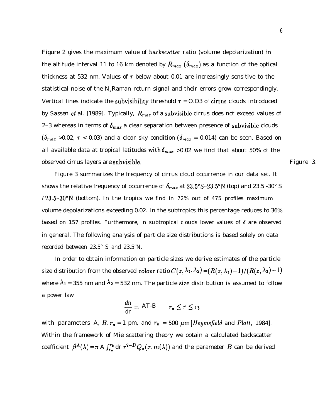Figure 2 gives the maximum value of backscatter ratio (volume depolarization) in the altitude interval 11 to 16 km denoted by  $R_{max}$  ( $\delta_{max}$ ) as a function of the optical thickness at 532 nm. Values of  $\tau$  below about 0.01 are increasingly sensitive to the statistical noise of the  $N_z$  Raman return signal and their errors grow correspondingly. Vertical lines indicate the subvisibility threshold  $\tau = 0.03$  of cirrus clouds introduced by *Sassen et al.* [1989]. Typically,  $R_{max}$  of a subvisible cirrus does not exceed values of 2–3 whereas in terms of  $\delta_{max}$  a clear separation between presence of subvisible clouds  $(\delta_{max} > 0.02, \tau < 0.03)$  and a clear sky condition  $(\delta_{max} = 0.014)$  can be seen. Based on all available data at tropical latitudes with  $\delta_{max} > 0.02$  we find that about 50% of the observed cirrus layers are subvisible. The set of the set of the set of the set of the set of the set of the set of the set of the set of the set of the set of the set of the set of the set of the set of the set of the set

Figure 3 summarizes the frequency of cirrus cloud occurrence in our data set. It shows the relative frequency of occurrence of  $\delta_{max}$  at  $23.5^{\circ}S$ -23.5°N (top) and 23.5 -30° S  $/23.5-30°$ N (bottom). In the tropics we find in 72% out of 475 profiles maximum volume depolarizations exceeding 0.02. In the subtropics this percentage reduces to 36% based on 157 profiles. Furthermore, in subtropical clouds lower values of  $\delta$  are observed in general. The following analysis of particle size distributions is based solely on data recorded between 23.5° S and 23.5"N.

In order to obtain information on particle sizes we derive estimates of the particle size distribution from the observed colour ratio  $C(z, \lambda_1, \lambda_2) = (R(z, \lambda_1) - 1)/(R(z, \lambda_2) - 1)$ where  $\lambda_1 = 355$  nm and  $\lambda_2 = 532$  nm. The particle size distribution is assumed to follow a power law

$$
\frac{dn}{dr} = AT \cdot B \qquad r_a \le r \le r_b
$$

with parameters *A, B,*  $r_a = 1$  *pm, and*  $r_b = 500 \ \mu m$  *[Heymsfield and Platt, 1984].* Within the framework of Mie scattering theory we obtain a calculated backscatter coefficient  $~\tilde{\beta}^A(\lambda) = \pi A \int_{r_a}^{r_b} dr r^{2-B} Q_{\pi}(x, m(\lambda))$  and the parameter B can be derived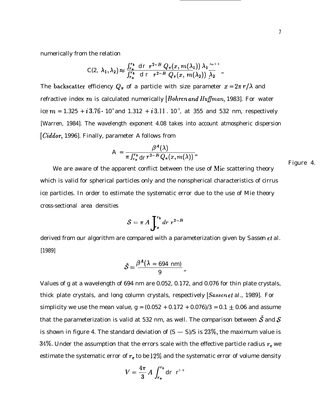numerically from the relation

$$
C(2, \lambda_1, \lambda_2) \approx \frac{\int_{r_a}^{r_b} dr \ r^{2-B} Q_{\pi}(x, m(\lambda_1)) \lambda_1^{4\pi\sigma s}}{\int_{r_a}^{r_b} dr \ r^{2-B} Q_{\pi}(x, m(\lambda_2)) \lambda_2}.
$$

The backscatter efficiency  $Q_{\pi}$  of a particle with size parameter  $x = 2\pi r/\lambda$  and refractive index m is calculated numerically *[Bohren and Huffman, 1983]*. For water ice  $m = 1.325 + i3.76 \cdot 10^{9}$  and  $1.312 + i3.11$ .  $10^{-9}$ , at 355 and 532 nm, respectively [Warren, 1984]. The wavelength exponent 4.08 takes into account atmospheric dispersion [Ciddor, 1996]. Finally, parameter *A* follows from

$$
A = \frac{\beta^{A}(\lambda)}{\pi \int_{r_a}^{r_b} dr \, r^{2-B} \, Q_{\pi}(x, m(\lambda))} \, dx
$$

Figure 4.

We are aware of the apparent conflict between the use of Mie scattering theory which is valid for spherical particles only and the nonspherical characteristics of cirrus ice particles. In order to estimate the systematic error due to the use of Mie theory cross-sectional area densities

$$
S = \pi A \int_{r_a}^{r_b} dr \ r^{2-B}
$$

derived from our algorithm are compared with a parameterization given by *Sassen ei al.* [1989]

$$
\tilde{S}=\frac{\beta^A(\lambda=694~\text{nm})}{9}.
$$

Values of g at a wavelength of 694 nm are 0.052, 0.172, and 0.076 for thin plate crystals, thick plate crystals, and long column crystals, respectively *[Sassen et al.,* 1989]. For simplicity we use the mean value,  $g = (0.052 + 0.172 + 0.076)/3 = 0.1 \pm 0.06$  and assume that the parameterization is valid at 532 nm, as well. The comparison between  $\tilde{\mathcal{S}}$  and  $\mathcal{S}$ is shown in figure 4. The standard deviation of  $(S - S)/S$  is  $23\%$ , the maximum value is 34%. Under the assumption that the errors scale with the effective particle radius  $r_e$  we estimate the systematic error of  $r_e$  to be 12% and the systematic error of volume density

$$
V=\frac{4\pi}{3}A\int_{r_a}^{r_b}dr\ r^{3+B}
$$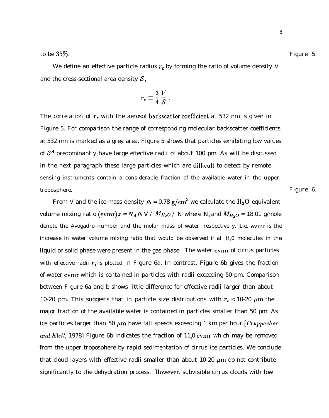We define an effective particle radius  $r_e$  by forming the ratio of volume density  $V$ and the cross-sectional area density  $S$ ,

$$
r_e \equiv \frac{3}{4} \frac{V}{S} \ .
$$

The correlation of  $r_e$  with the aerosol backscatter coefficient at 532 nm is given in Figure 5. For comparison the range of corresponding molecular backscatter coefficients at 532 nm is marked as a grey area. Figure 5 shows that particles exhibiting low values of  $\beta^A$  predominantly have large effective radii of about 100 pm. As will be discussed in the next paragraph these large particles which are difllcult to detect by remote sensing instruments contain a considerable fraction of the available water in the upper troposphere. Figure 6.

From *V* and the ice mass density  $\rho_i = 0.78$  g/cm<sup>3</sup> we calculate the H<sub>2</sub>O equivalent volume mixing ratio (evmr)  $x = N_A \rho_i V / M_{H_2O} / N$  where N<sub>A</sub> and  $M_{H_2O} = 18.01$  g/mole denote the Avogadro number and the molar mass of water, respective y. 1.e. evmr is the increase in water volume mixing ratio that would be observed if all H<sub>2</sub>0 molecules in the liquid or solid phase were present in the gas phase. The water evmr of cirrus particles with effective radii  $r_e$  is plotted in Figure 6a. In contrast, Figure 6b gives the fraction of water evmr which is contained in particles with radii exceeding 50 pm. Comparison between Figure 6a and b shows little difference for effective radii larger than about 10-20 pm. This suggests that in particle size distributions with  $r_e$  < 10-20  $\mu$ m the major fraction of the available water is contained in particles smaller than 50 pm. As ice particles larger than 50  $\mu$ m have fall speeds exceeding 1 km per hour *[Pruppacher and Klett*, 1978] Figure 6b indicates the fraction of 11,0 evmr which may be removed from the upper troposphere by rapid sedimentation of cirrus ice particles. We conclude that cloud layers with effective radii smaller than about  $10\n-20 \mu m$  do not contribute significantly to the dehydration process. IIowever, subvisible cirrus clouds with low

8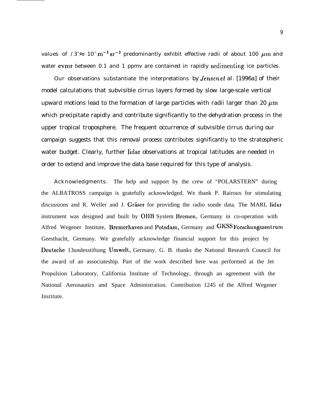values of  $/3^4 \approx 10^{-7} \text{m}^{-1} \text{sr}^{-1}$  predominantly exhibit effective radii of about 100  $\mu$ m and water evmr between 0.1 and 1 ppmv are contained in rapidly sedimenting ice particles.

Our observations substantiate the interpretations by Jensen et *al. [1996a]* of their model calculations that subvisible cirrus layers formed by slow large-scale vertical upward motions lead to the formation of large particles with radii larger than 20  $\mu$ m which precipitate rapidly and contribute significantly to the dehydration process in the upper tropical troposphere. The frequent occurrence of subvisible cirrus during our campaign suggests that this removal process contributes significantly to the stratospheric water budget. Clearly, further lidar observations at tropical latitudes are needed in order to extend and improve the data base required for this type of analysis.

Acknowledgments. The help and support by the crew of "POLARSTERN" during the ALBATROSS campaign is gratefully acknowledged. We thank P. Rairoux for stimulating discussions and R. Weller and J. Gräser for providing the radio sonde data. The MARL lidar instrument was designed and built by OHB System Bremen, Germany in co-operation with Alfred Wegener Institute, Bremerhaven and Potsdam, Germany and GKSS Forschungszentrum Geesthacht, Germany. We gratefully acknowledge financial support for this project by Deutsche 13undesstiftung Umwelt, Germany. G. B. thanks the National Research Council for the award of an associateship. Part of the work described here was performed at the Jet Propulsion Laboratory, California Institute of Technology, through an agreement with the National Aeronautics and Space Administration. Contribution 1245 of the Alfred Wegener Institute.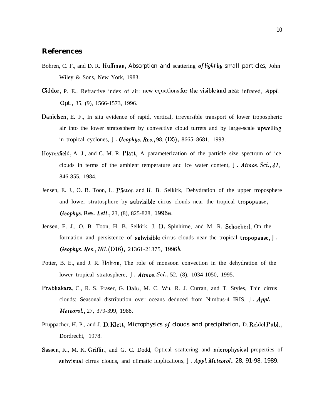## **References**

- Bohren, C. F., and D. R. **Huffman**, *Absorption and* scattering of light by small particles, John Wiley & Sons, New York, 1983.
- Ciddor, P. E., Refractive index of air: new equations for the visible and near infrared,  $Appl$ . *Opt.,* 35, (9), 1566-1573, 1996.
- Danielsen, E. F., In situ evidence of rapid, vertical, irreversible transport of lower tropospheric air into the lower stratosphere by convective cloud turrets and by large-scale upwelling in tropical cyclones, *J. Geophys. Res.*, 98, (D5), 8665–8681, 1993.
- IIeymsfield, A. J., and C. M. R. Platt, A parameterization of the particle size spectrum of ice clouds in terms of the ambient temperature and ice water content, *J. Atmos. Sci.,* **41,** 846-855, 1984.
- Jensen, E. J., O. B. Toon, L. Pfister, and 11. B. Selkirk, Dehydration of the upper troposphere and lower stratosphere by subvisible cirrus clouds near the tropical tropopause, *Geophys. Res. Lett.,* 23, (8), 825-828, *1996a.*
- Jensen, E. J., O. B. Toon, H. B. Selkirk, J. D. Spinhirne, and M. R. Schoeberl, On the formation and persistence of subvisible cirrus clouds near the tropical tropopause, *J. Geophys. Res., 101,* (D16), 21361-21375, 1996&
- Potter, B. E., and J. R. IIolton, The role of monsoon convection in the dehydration of the lower tropical stratosphere, *J. Atrnos. Sci.,* 52, (8), 1034-1050, 1995.
- Prabhakara, C., R. S. Fraser, G. Dalu, M. C. Wu, R. J. Curran, and T. Styles, Thin cirrus clouds: Seasonal distribution over oceans deduced from Nimbus-4 IRIS, *J. Appl. Meteorol.,* 27, 379-399, 1988.
- Pruppacher, H. P., and J. D. Klett, *Microphysics of clouds and precipitation,* D. Reidel Publ., Dordrecht, 1978.
- Sassen, K., M. K. Griffin, and G. C. Dodd, Optical scattering and microphysical properties of subvisual cirrus clouds, and climatic implications, *J. Appl. Meteorol., 28, 91-98, 1989.*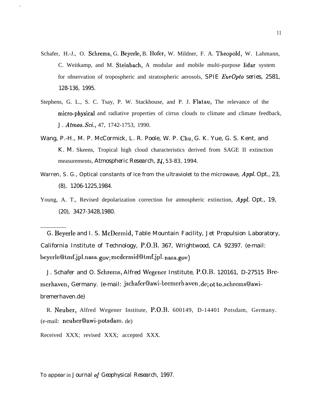- Schafer, H.-J., O. Schrems, G. Beyerle, B. Ilofer, W. Mildner, F. A. Theopold, W. Lahmann, C. Weitkamp, and M. Steinbach, A modular and mobile multi-purpose lidar system for observation of tropospheric and stratospheric aerosols, *SPIE EurOpto series, 2581, 128-136, 1995.*
- Stephens, G. L., S. C. Tsay, P. W. Stackhouse, and P. J. Flatau, The relevance of the micro-physical and radiative properties of cirrus clouds to climate and climate feedback, *J. Atmos. Sci.,* 47, 1742-1753, 1990.
- Wang, P.-H., M. P. McCormick, L. R. Poole, W. P. Chu, G. K. Yue, G. S. Kent, and K. M. Skeens, Tropical high cloud characteristics derived from SAGE II extinction measurements, *Atmospheric Research, 84,* 53-83, 1994.
- Warren, S. G., Optical constants of ice from the ultraviolet to the microwave, *Appl. Opt., 23, (8), 1206-1225,1984.*
- Young, A. T., Revised depolarization correction for atmospheric extinction, *Appl. Opt., 19, (20), 3427-3428,1980.*

*G.* Beyerle and I. S. McDermid, Table Mountain Facility, Jet Propulsion Laboratory, California Institute of Technology, P.O.B. 367, Wrightwood, CA 92397. (e-mail: bcyerle@tmf.jpl.nasa. gov; mcdermid@tmf.jpl. nasa.gov)

J. Schafer and O. Schrems, Alfred Wegener Institute, P.O.B. 120161, D-27515 Bremerhaven, Germany. (e-mail: jschafer@awi-bremerhaven.de; ot to\_schrems@awibremerhaven.de)

R. Neuber, Alfred Wegener Institute, P.O.B. 600149, D-14401 Potsdam, Germany. (e-mail: neuberQawi-potsdam. de)

Received XXX; revised XXX; accepted XXX.

To appear in *Journal of Geophysical Research, 1997.*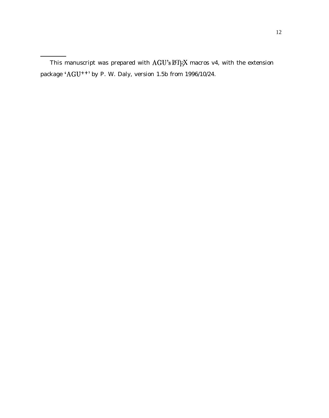This manuscript was prepared with  $AGU's \cancel{B}T_FX$  macros v4, with the extension package 'AGU++' by P. W. Daly, version 1.5b from 1996/10/24.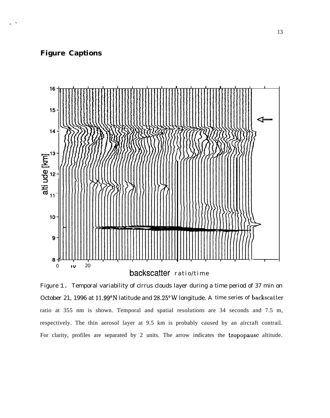### **Figure Captions**

. .



Figure 1. Temporal variability of cirrus clouds layer during a time period of 37 min on October 21, 1996 at 11.99"N latitude and 28.25"W longitude. A time series of backscatter ratio at 355 nm is shown. Temporal and spatial resolutions are 34 seconds and 7.5 m, respectively. The thin aerosol layer at 9.5 km is probably caused by an aircraft contrail. For clarity, profiles are separated by 2 units. The arrow indicates the tropopause altitude.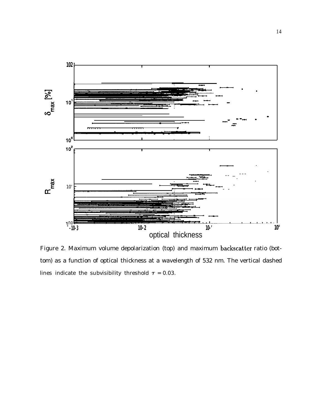

Figure 2. Maximum volume depolarization (top) and maximum backscatter ratio (bottom) as a function of optical thickness at a wavelength of 532 nm. The vertical dashed lines indicate the subvisibility threshold  $\tau = 0.03$ .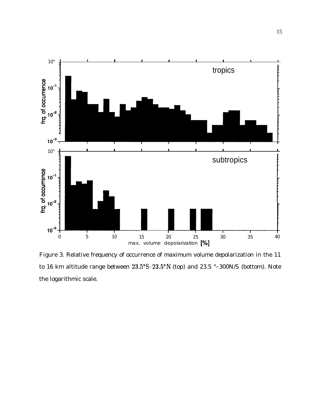

Figure 3. Relative frequency of occurrence of maximum volume depolarization in the 11 to 16 km altitude range between  $23.5^{\circ}S - 23.5^{\circ}N$  (top) and 23.5 °–300N/S (bottom). Note the logarithmic scale.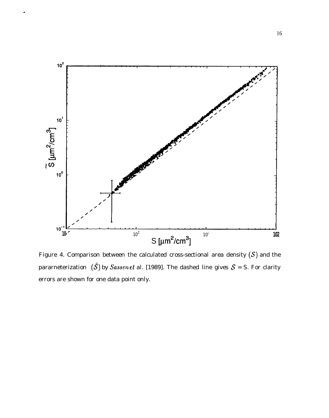

.

Figure 4. Comparison between the calculated cross-sectional area density  $(S)$  and the pararneterization  $({\tilde{\mathcal{S}}})$  by *Sassen et al. [1989]*. The dashed line gives  ${\mathcal{S}} = S$ . For clarity errors are shown for one data point only.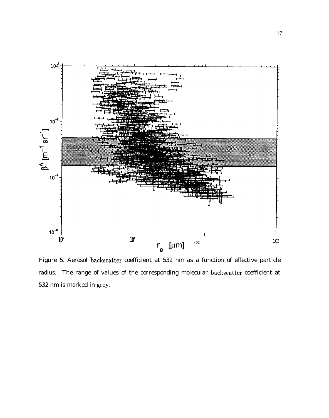

Figure 5. Aerosol backscatter coefficient at 532 nm as a function of effective particle radius. The range of values of the corresponding molecular backscatter coefficient at 532 nm is marked in grey.